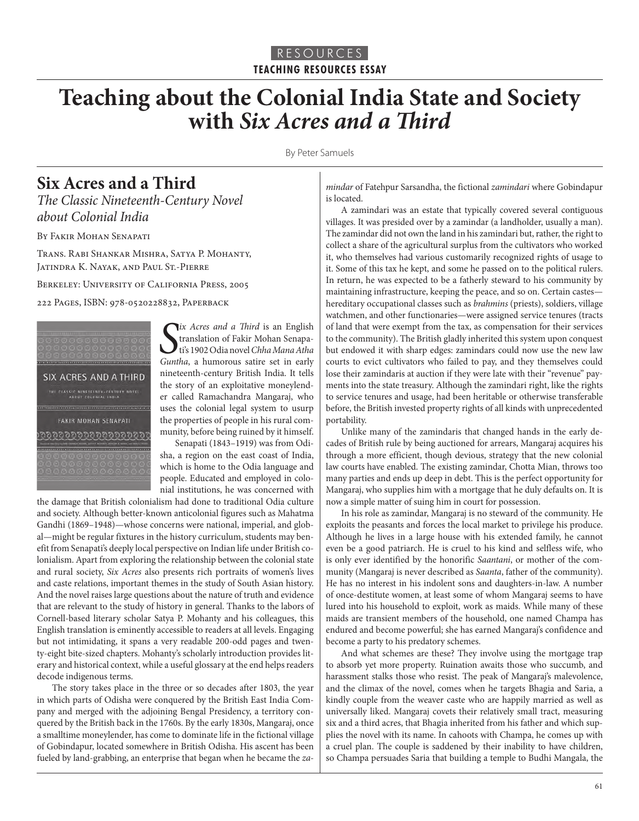## **Teaching about the Colonial India State and Society with** *Six Acres and a Third*

By Peter Samuels

## **Six Acres and a Third**

*The Classic Nineteenth-Century Novel about Colonial India*

BY FAKIR MOHAN SENAPATI

Trans. Rabi Shankar Mishra, Satya P. Mohanty, Jatindra K. Nayak, and Paul St.-Pierre

Berkeley: University of California Press, 2005

222 Pages, ISBN: 978-0520228832, Paperback



*Six Acres and a Third* is an English translation of Fakir Mohan Senapati's 1902 Odia novel Chha Mana Atha Guntha, a humorous satire set in early *ix Acres and a Third* is an English translation of Fakir Mohan Senapati's 1902 Odia novel *Chha Mana Atha*  nineteenth-century British India. It tells the story of an exploitative moneylender called Ramachandra Mangaraj, who uses the colonial legal system to usurp the properties of people in his rural community, before being ruined by it himself.

Senapati (1843–1919) was from Odisha, a region on the east coast of India, which is home to the Odia language and people. Educated and employed in colonial institutions, he was concerned with

the damage that British colonialism had done to traditional Odia culture and society. Although better-known anticolonial figures such as Mahatma Gandhi (1869–1948)—whose concerns were national, imperial, and global—might be regular fixtures in the history curriculum, students may benefit from Senapati's deeply local perspective on Indian life under British colonialism. Apart from exploring the relationship between the colonial state and rural society, *Six Acres* also presents rich portraits of women's lives and caste relations, important themes in the study of South Asian history. And the novel raises large questions about the nature of truth and evidence that are relevant to the study of history in general. Thanks to the labors of Cornell-based literary scholar Satya P. Mohanty and his colleagues, this English translation is eminently accessible to readers at all levels. Engaging but not intimidating, it spans a very readable 200-odd pages and twenty-eight bite-sized chapters. Mohanty's scholarly introduction provides literary and historical context, while a useful glossary at the end helps readers decode indigenous terms.

The story takes place in the three or so decades after 1803, the year in which parts of Odisha were conquered by the British East India Company and merged with the adjoining Bengal Presidency, a territory conquered by the British back in the 1760s. By the early 1830s, Mangaraj, once a smalltime moneylender, has come to dominate life in the fictional village of Gobindapur, located somewhere in British Odisha. His ascent has been fueled by land-grabbing, an enterprise that began when he became the *za-* *mindar* of Fatehpur Sarsandha, the fictional *zamindari* where Gobindapur is located.

A zamindari was an estate that typically covered several contiguous villages. It was presided over by a zamindar (a landholder, usually a man). The zamindar did not own the land in his zamindari but, rather, the right to collect a share of the agricultural surplus from the cultivators who worked it, who themselves had various customarily recognized rights of usage to it. Some of this tax he kept, and some he passed on to the political rulers. In return, he was expected to be a fatherly steward to his community by maintaining infrastructure, keeping the peace, and so on. Certain castes hereditary occupational classes such as *brahmins* (priests), soldiers, village watchmen, and other functionaries—were assigned service tenures (tracts of land that were exempt from the tax, as compensation for their services to the community). The British gladly inherited this system upon conquest but endowed it with sharp edges: zamindars could now use the new law courts to evict cultivators who failed to pay, and they themselves could lose their zamindaris at auction if they were late with their "revenue" payments into the state treasury. Although the zamindari right, like the rights to service tenures and usage, had been heritable or otherwise transferable before, the British invested property rights of all kinds with unprecedented portability.

Unlike many of the zamindaris that changed hands in the early decades of British rule by being auctioned for arrears, Mangaraj acquires his through a more efficient, though devious, strategy that the new colonial law courts have enabled. The existing zamindar, Chotta Mian, throws too many parties and ends up deep in debt. This is the perfect opportunity for Mangaraj, who supplies him with a mortgage that he duly defaults on. It is now a simple matter of suing him in court for possession.

In his role as zamindar, Mangaraj is no steward of the community. He exploits the peasants and forces the local market to privilege his produce. Although he lives in a large house with his extended family, he cannot even be a good patriarch. He is cruel to his kind and selfless wife, who is only ever identified by the honorific *Saantani*, or mother of the community (Mangaraj is never described as *Saanta*, father of the community). He has no interest in his indolent sons and daughters-in-law. A number of once-destitute women, at least some of whom Mangaraj seems to have lured into his household to exploit, work as maids. While many of these maids are transient members of the household, one named Champa has endured and become powerful; she has earned Mangaraj's confidence and become a party to his predatory schemes.

And what schemes are these? They involve using the mortgage trap to absorb yet more property. Ruination awaits those who succumb, and harassment stalks those who resist. The peak of Mangaraj's malevolence, and the climax of the novel, comes when he targets Bhagia and Saria, a kindly couple from the weaver caste who are happily married as well as universally liked. Mangaraj covets their relatively small tract, measuring six and a third acres, that Bhagia inherited from his father and which supplies the novel with its name. In cahoots with Champa, he comes up with a cruel plan. The couple is saddened by their inability to have children, so Champa persuades Saria that building a temple to Budhi Mangala, the